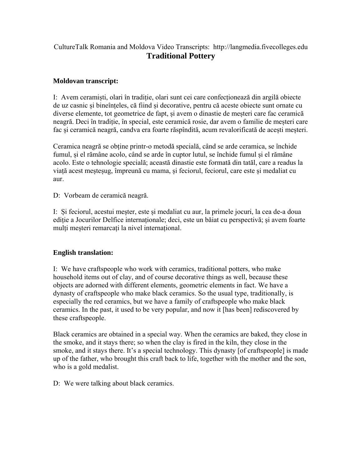## CultureTalk Romania and Moldova Video Transcripts: http://langmedia.fivecolleges.edu **Traditional Pottery**

## **Moldovan transcript:**

I: Avem ceramiști, olari în tradiție, olari sunt cei care confecționează din argilă obiecte de uz casnic și bineînțeles, că fiind și decorative, pentru că aceste obiecte sunt ornate cu diverse elemente, tot geometrice de fapt, și avem o dinastie de meșteri care fac ceramică neagră. Deci în tradiție, în special, este ceramică rosie, dar avem o familie de meșteri care fac și ceramică neagră, candva era foarte răspîndită, acum revalorificată de acești meșteri.

Ceramica neagră se obține printr-o metodă specială, când se arde ceramica, se închide fumul, și el rămâne acolo, când se arde în cuptor lutul, se închide fumul și el rămâne acolo. Este o tehnologie specială; această dinastie este formată din tatăl, care a readus la viață acest meșteșug, împreună cu mama, și feciorul, feciorul, care este și medaliat cu aur.

D: Vorbeam de ceramică neagră.

I: Și feciorul, acestui meșter, este și medaliat cu aur, la primele jocuri, la cea de-a doua ediție a Jocurilor Delfice internaționale; deci, este un băiat cu perspectivă; și avem foarte mulți meșteri remarcați la nivel internațional.

## **English translation:**

I: We have craftspeople who work with ceramics, traditional potters, who make household items out of clay, and of course decorative things as well, because these objects are adorned with different elements, geometric elements in fact. We have a dynasty of craftspeople who make black ceramics. So the usual type, traditionally, is especially the red ceramics, but we have a family of craftspeople who make black ceramics. In the past, it used to be very popular, and now it [has been] rediscovered by these craftspeople.

Black ceramics are obtained in a special way. When the ceramics are baked, they close in the smoke, and it stays there; so when the clay is fired in the kiln, they close in the smoke, and it stays there. It's a special technology. This dynasty [of craftspeople] is made up of the father, who brought this craft back to life, together with the mother and the son, who is a gold medalist.

D: We were talking about black ceramics.